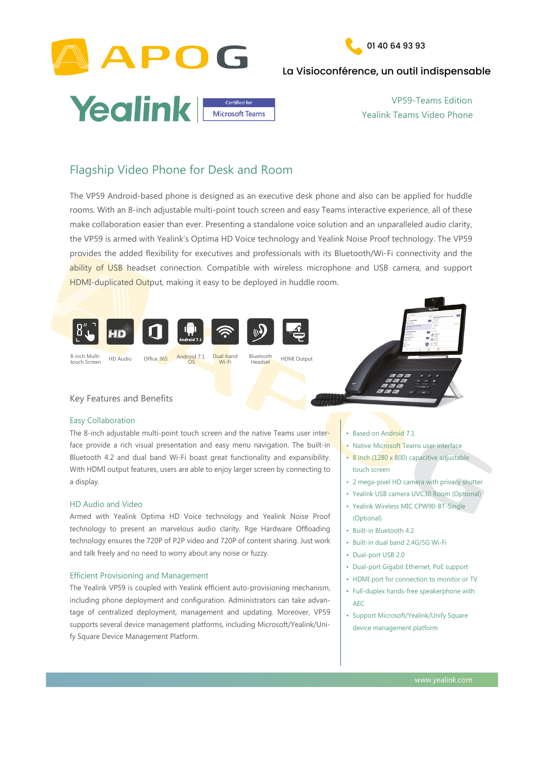



## La Visioconférence, un outil indispensable



rooms. With an 8-inch adjustable multi-point touch screen and easy Teams interactive experience, all of these make collaboration easier than ever. Presenting a standalone voice solution and an unparalleled audio clarity, the VP59 is armed with Yealink's Optima HD Voice technology and Yealink Noise Proof technology. The VP59 provides the added flexibility for executives and professionals with its Bluetooth/Wi-Fi connectivity and the ability of USB headset connection. Compatible with wireless microphone and USB camera, and support HDMI-duplicated Output, making it easy to be deployed in huddle room.

The VP59 Android-based phone is designed as an executive desk phone and also can be applied for huddle

The 8-inch adjustable multi-point touch screen and the native Teams user interface provide a rich visual presentation and easy menu navigation. The built-in Bluetooth 4.2 and dual band Wi-Fi boast great functionality and expansibility. With HDMI output features, users are able to enjoy larger screen by connecting to a display.

### Easy Collaboration

- Native Microsoft Teams user interface
- 8 inch (1280 x 800) capacitive adjustable

## HD Audio and Video

Armed with Yealink Optima HD Voice technology and Yealink Noise Proof technology to present an marvelous audio clarity. Rge Hardware Offloading technology ensures the 720P of P2P video and 720P of content sharing. Just work and talk freely and no need to worry about any noise or fuzzy.



## Efficient Provisioning and Management

The Yealink VP59 is coupled with Yealink efficient auto-provisioning mechanism, including phone deployment and configuration. Administrators can take advantage of centralized deployment, management and updating. Moreover, VP59 supports several device management platforms, including Microsoft/Yealink/Unify Square Device Management Platform.

www.yealink.com

## Flagship Video Phone for Desk and Room

• Based on Android 7.1

touch screen

- 2 mega-pixel HD camera with privacy shutter
- Yealink USB camera UVC30 Room (Optional)
- Yealink Wireless MIC CPW90-BT-Single (Optional)
- Built-in Bluetooth 4.2
- Built-in dual band 2.4G/5G Wi-Fi
- Dual-port USB 2.0
- Dual-port Gigabit Ethernet, PoE support
- HDMI port for connection to monitor or TV
- Full-duplex hands-free speakerphone with

#### AEC

• Support Microsoft/Yealink/Unify Square

device management platform

VP59-Teams Edition Yealink Teams Video Phone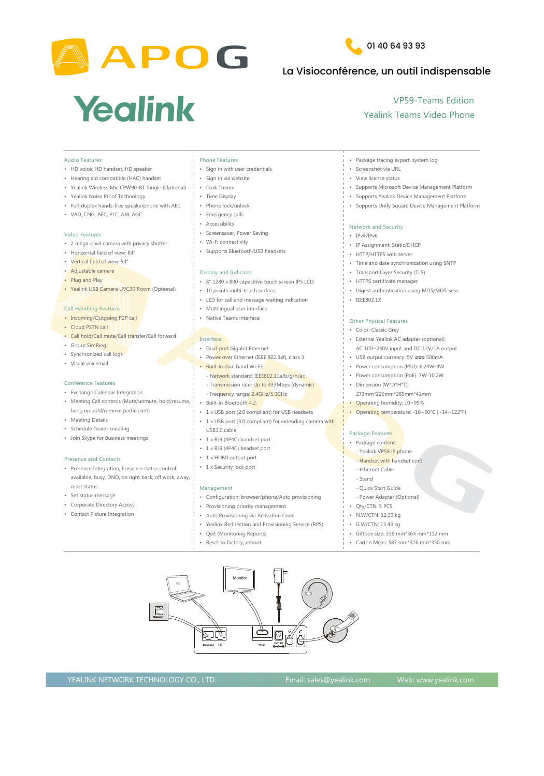



## La Visioconférence, un outil indispensable

# Yealink

### YEALINK NETWORK TECHNOLOGY CO., LTD. Email: sales@yealink.com Web: www.yealink.com

- Full-duplex hands-free speakerphone with AEC
- VAD, CNG, AEC, PLC, AJB, AGC

- Incoming/Outgoing P2P call
- Cloud PSTN call
- Call hold/Call mute/Call transfer/Call forward
- Group SimRing
- Synchronized call logs
- Visual voicemail

#### Video Features

- 2 mega-pixel camera with privacy shutter
- Horizontal field of view: 84°
- Vertical field of view: 54°
- Adjustable camera
- Plug and Play
- Yealink USB Camera UVC30 Room (Optional)

#### Call Handling Features

#### Conference Features

- Exchange Calendar Integration
- Time Display • Phone lock/unlock **Emergency calls Accessibility** Screensaver, Power Saving Wi-Fi connectivity • Supports Bluetooth/USB headsets Display and Indicator 8" 1280 x 800 capacitive touch screen IPS LCD • 10 points multi-touch surface • LED for call and message waiting indication • Multilingual user interface **Native Teams interface Interface Dual-port Gigabit Ethernet** Power over Ethernet (IEEE 802.3af), class 3 Built-in dual band Wi-Fi:
	- Network standard: IEEE802.11a/b/g/n/ac
	- Transmission rate: Up to 433Mbps (dynamic)
	- Frequency range: 2.4GHz/5.0GHz
- Supports Unify Square Device Management Platform Network and Security • IPv4/IPv6 • IP Assignment: Static/DHCP • HTTP/HTTPS web server • Time and date synchronization using SNTP **Transport Layer Security (TLS)** • HTTPS certificate manager • Digest authentication using MD5/MD5-sess • IEEE802.1X Other Physical Features • Color: Classic Grey **External Yealink AC adapter (optional):**  AC 100~240V input and DC 12V/1A output USB output currency:  $5V = 500mA$ Power consumption (PSU): 6.24W-9W Power consumption (PoE): 7W-10.2W Dimension (W\*D\*H\*T): 273mm\*226mm\*285mm\*42mm
- Meeting Call controls (Mute/unmute, hold/resume, hang up, add/remove participant)
- Meeting Details
- Schedule Teams meeting
- Join Skype for Business meetings

#### Presence and Contacts

- Configuration: browser/phone/Auto provisioning
- Provisioning priority management • Auto Provisioning via Activation Code
- Yealink Redirection and Provisioning Service (RPS)
- QoE (Monitoring Reports)
- Reset to factory, reboot
- Presence Integration, Presence status control: available, busy, DND, be right back, off work, away, reset status
- Set status message
- Corporate Directory Access
- Contact Picture Integration

Built-in Bluetooth 4.2:

- 1 x USB port (2.0 compliant) for USB headsets
- 1 x USB port (3.0 compliant) for extending camera with
- USB3.0 cable
- 1 x RJ9 (4P4C) handset port
- 1 x RJ9 (4P4C) headset port
- 1 x HDMI output port
- 1 x Security lock port

| <b>Audio Features</b>                                        | <b>Phone Features</b>         | Package tracing export, system log                   |
|--------------------------------------------------------------|-------------------------------|------------------------------------------------------|
| • HD voice: HD handset, HD speaker                           | Sign in with user credentials | Screenshot via URL                                   |
| • Hearing aid compatible (HAC) handset                       | Sign in via website           | <b>View license status</b>                           |
| Yealink Wireless Mic CPW90-BT-Single (Optional)<br>$\bullet$ | Dark Theme                    | <b>Supports Microsoft Device Management Platform</b> |
| • Yealink Noise Proof Technology                             | <b>Time Display</b>           | <b>Supports Yealink Device Management Platform</b>   |

#### Management

- Operating humidity: 10~95%
- Operating temperature: -10~50°C (+14~122°F)

## Package Features Package content: - Yealink VP59 IP phone

- Handset with handset cord
- Ethernet Cable
- Stand
- Quick Start Guide
- Power Adapter (Optional)
- Qty/CTN: 5 PCS
- N.W/CTN: 12.39 kg
- G.W/CTN: 13.43 kg
- Giftbox size: 336 mm\*364 mm\*112 mm
- Carton Meas: 587 mm\*376 mm\*350 mm

VP59-Teams Edition Yealink Teams Video Phone